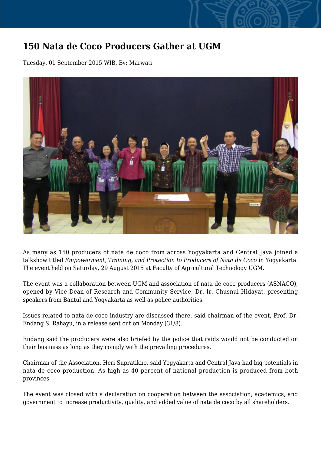## **150 Nata de Coco Producers Gather at UGM**

Tuesday, 01 September 2015 WIB, By: Marwati



As many as 150 producers of nata de coco from across Yogyakarta and Central Java joined a talkshow titled *Empowerment, Training, and Protection to Producers of Nata de Coco* in Yogyakarta. The event held on Saturday, 29 August 2015 at Faculty of Agricultural Technology UGM.

The event was a collaboration between UGM and association of nata de coco producers (ASNACO), opened by Vice Dean of Research and Community Service, Dr. Ir. Chusnul Hidayat, presenting speakers from Bantul and Yogyakarta as well as police authorities.

Issues related to nata de coco industry are discussed there, said chairman of the event, Prof. Dr. Endang S. Rahayu, in a release sent out on Monday (31/8).

Endang said the producers were also briefed by the police that raids would not be conducted on their business as long as they comply with the prevailing procedures.

Chairman of the Association, Heri Supratikno, said Yogyakarta and Central Java had big potentials in nata de coco production. As high as 40 percent of national production is produced from both provinces.

The event was closed with a declaration on cooperation between the association, academics, and government to increase productivity, quality, and added value of nata de coco by all shareholders.